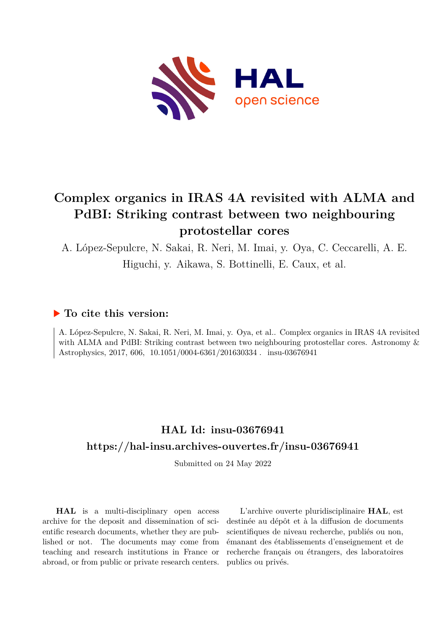

# **Complex organics in IRAS 4A revisited with ALMA and PdBI: Striking contrast between two neighbouring protostellar cores**

A. López-Sepulcre, N. Sakai, R. Neri, M. Imai, y. Oya, C. Ceccarelli, A. E. Higuchi, y. Aikawa, S. Bottinelli, E. Caux, et al.

## **To cite this version:**

A. López-Sepulcre, N. Sakai, R. Neri, M. Imai, y. Oya, et al.. Complex organics in IRAS 4A revisited with ALMA and PdBI: Striking contrast between two neighbouring protostellar cores. Astronomy & Astrophysics, 2017, 606, 10.1051/0004-6361/201630334. insu-03676941

## **HAL Id: insu-03676941 <https://hal-insu.archives-ouvertes.fr/insu-03676941>**

Submitted on 24 May 2022

**HAL** is a multi-disciplinary open access archive for the deposit and dissemination of scientific research documents, whether they are published or not. The documents may come from teaching and research institutions in France or abroad, or from public or private research centers.

L'archive ouverte pluridisciplinaire **HAL**, est destinée au dépôt et à la diffusion de documents scientifiques de niveau recherche, publiés ou non, émanant des établissements d'enseignement et de recherche français ou étrangers, des laboratoires publics ou privés.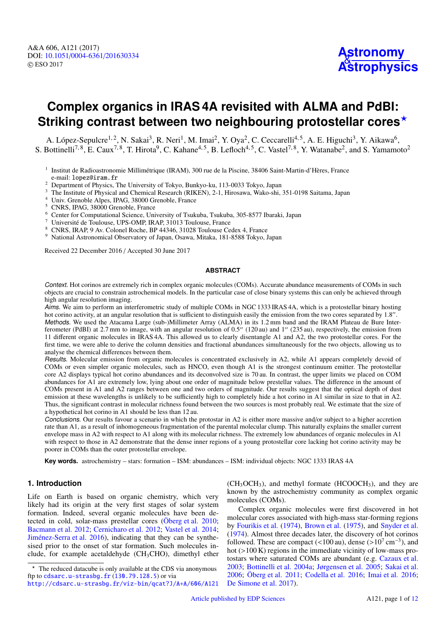## **Complex organics in IRAS 4A revisited with ALMA and PdBI: Striking contrast between two neighbouring protostellar cores**?

A. López-Sepulcre<sup>1, 2</sup>, N. Sakai<sup>3</sup>, R. Neri<sup>1</sup>, M. Imai<sup>2</sup>, Y. Oya<sup>2</sup>, C. Ceccarelli<sup>4, 5</sup>, A. E. Higuchi<sup>3</sup>, Y. Aikawa<sup>6</sup>, S. Bottinelli<sup>7, 8</sup>, E. Caux<sup>7, 8</sup>, T. Hirota<sup>9</sup>, C. Kahane<sup>4, 5</sup>, B. Lefloch<sup>4, 5</sup>, C. Vastel<sup>7, 8</sup>, Y. Watanabe<sup>2</sup>, and S. Yamamoto<sup>2</sup>

- 1 Institut de Radioastronomie Millimétrique (IRAM), 300 rue de la Piscine, 38406 Saint-Martin-d'Hères, France e-mail: lopez@iram.fr
- <sup>2</sup> Department of Physics, The University of Tokyo, Bunkyo-ku, 113-0033 Tokyo, Japan
- <sup>3</sup> The Institute of Physical and Chemical Research (RIKEN), 2-1, Hirosawa, Wako-shi, 351-0198 Saitama, Japan
- <sup>4</sup> Univ. Grenoble Alpes, IPAG, 38000 Grenoble, France
- <sup>5</sup> CNRS, IPAG, 38000 Grenoble, France
- <sup>6</sup> Center for Computational Science, University of Tsukuba, Tsukuba, 305-8577 Ibaraki, Japan
- <sup>7</sup> Université de Toulouse, UPS-OMP, IRAP, 31013 Toulouse, France
- <sup>8</sup> CNRS, IRAP, 9 Av. Colonel Roche, BP 44346, 31028 Toulouse Cedex 4, France
- <sup>9</sup> National Astronomical Observatory of Japan, Osawa, Mitaka, 181-8588 Tokyo, Japan

Received 22 December 2016 / Accepted 30 June 2017

#### **ABSTRACT**

Context. Hot corinos are extremely rich in complex organic molecules (COMs). Accurate abundance measurements of COMs in such objects are crucial to constrain astrochemical models. In the particular case of close binary systems this can only be achieved through high angular resolution imaging.

Aims. We aim to perform an interferometric study of multiple COMs in NGC 1333 IRAS 4A, which is a protostellar binary hosting hot corino activity, at an angular resolution that is sufficient to distinguish easily the emission from the two cores separated by 1.8". Methods. We used the Atacama Large (sub-)Millimeter Array (ALMA) in its 1.2 mm band and the IRAM Plateau de Bure Interferometer (PdBI) at 2.7 mm to image, with an angular resolution of  $0.5''$  (120 au) and 1" (235 au), respectively, the emission from 11 different organic molecules in IRAS 4A. This allowed us to clearly disentangle A1 and A2, the two protostellar cores. For the first time, we were able to derive the column densities and fractional abundances simultaneously for the two objects, allowing us to analyse the chemical differences between them.

Results. Molecular emission from organic molecules is concentrated exclusively in A2, while A1 appears completely devoid of COMs or even simpler organic molecules, such as HNCO, even though A1 is the strongest continuum emitter. The protostellar core A2 displays typical hot corino abundances and its deconvolved size is 70 au. In contrast, the upper limits we placed on COM abundances for A1 are extremely low, lying about one order of magnitude below prestellar values. The difference in the amount of COMs present in A1 and A2 ranges between one and two orders of magnitude. Our results suggest that the optical depth of dust emission at these wavelengths is unlikely to be sufficiently high to completely hide a hot corino in A1 similar in size to that in A2. Thus, the significant contrast in molecular richness found between the two sources is most probably real. We estimate that the size of a hypothetical hot corino in A1 should be less than 12 au.

Conclusions. Our results favour a scenario in which the protostar in A2 is either more massive and/or subject to a higher accretion rate than A1, as a result of inhomogeneous fragmentation of the parental molecular clump. This naturally explains the smaller current envelope mass in A2 with respect to A1 along with its molecular richness. The extremely low abundances of organic molecules in A1 with respect to those in A2 demonstrate that the dense inner regions of a young protostellar core lacking hot corino activity may be poorer in COMs than the outer protostellar envelope.

**Key words.** astrochemistry – stars: formation – ISM: abundances – ISM: individual objects: NGC 1333 IRAS 4A

#### **1. Introduction**

Life on Earth is based on organic chemistry, which very likely had its origin at the very first stages of solar system formation. Indeed, several organic molecules have been detected in cold, solar-mass prestellar cores (Öberg et al. 2010; Bacmann et al. 2012; Cernicharo et al. 2012; Vastel et al. 2014; Jiménez-Serra et al. 2016), indicating that they can be synthesised prior to the onset of star formation. Such molecules include, for example acetaldehyde (CH3CHO), dimethyl ether

 $(CH<sub>3</sub>OCH<sub>3</sub>)$ , and methyl formate  $(HCOOCH<sub>3</sub>)$ , and they are known by the astrochemistry community as complex organic molecules (COMs).

Complex organic molecules were first discovered in hot molecular cores associated with high-mass star-forming regions by Fourikis et al. (1974), Brown et al. (1975), and Snyder et al. (1974). Almost three decades later, the discovery of hot corinos followed. These are compact (<100 au), dense (>10<sup>7</sup> cm<sup>-3</sup>), and hot (>100 K) regions in the immediate vicinity of low-mass prohot (>100 K) regions in the immediate vicinity of low-mass protostars where saturated COMs are abundant (e.g. Cazaux et al. 2003; Bottinelli et al. 2004a; Jørgensen et al. 2005; Sakai et al. 2006; Öberg et al. 2011; Codella et al. 2016; Imai et al. 2016; De Simone et al. 2017).

<sup>?</sup> The reduced datacube is only available at the CDS via anonymous ftp to [cdsarc.u-strasbg.fr](http://cdsarc.u-strasbg.fr) (<130.79.128.5>) or via

<http://cdsarc.u-strasbg.fr/viz-bin/qcat?J/A+A/606/A121>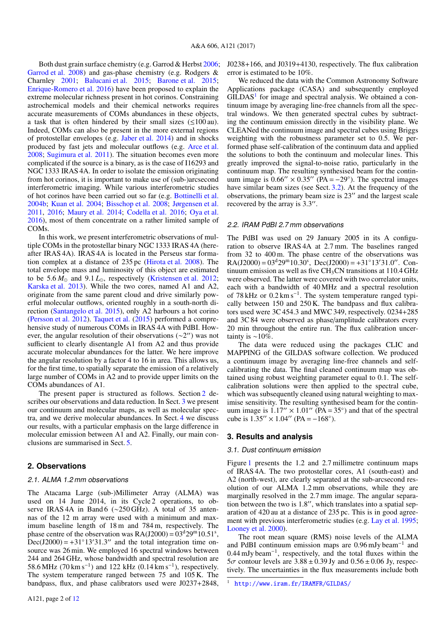Both dust grain surface chemistry (e.g. Garrod & Herbst 2006; Garrod et al. 2008) and gas-phase chemistry (e.g. Rodgers & Charnley 2001; Balucani et al. 2015; Barone et al. 2015; Enrique-Romero et al. 2016) have been proposed to explain the extreme molecular richness present in hot corinos. Constraining astrochemical models and their chemical networks requires accurate measurements of COMs abundances in these objects, a task that is often hindered by their small sizes (≤100 au). Indeed, COMs can also be present in the more external regions of protostellar envelopes (e.g. Jaber et al. 2014) and in shocks produced by fast jets and molecular outflows (e.g. Arce et al. 2008; Sugimura et al. 2011). The situation becomes even more complicated if the source is a binary, as is the case of I16293 and NGC 1333 IRAS 4A. In order to isolate the emission originating from hot corinos, it is important to make use of (sub-)arcsecond interferometric imaging. While various interferometric studies of hot corinos have been carried out so far (e.g. Bottinelli et al. 2004b; Kuan et al. 2004; Bisschop et al. 2008; Jørgensen et al. 2011, 2016; Maury et al. 2014; Codella et al. 2016; Oya et al. 2016), most of them concentrate on a rather limited sample of COM<sub>s</sub>

In this work, we present interferometric observations of multiple COMs in the protostellar binary NGC 1333 IRAS 4A (hereafter IRAS 4A). IRAS 4A is located in the Perseus star formation complex at a distance of 235 pc (Hirota et al. 2008). The total envelope mass and luminosity of this object are estimated to be  $5.6 M_{\odot}$  and  $9.1 L_{\odot}$ , respectively (Kristensen et al. 2012; Karska et al. 2013). While the two cores, named A1 and A2, originate from the same parent cloud and drive similarly powerful molecular outflows, oriented roughly in a south-north direction (Santangelo et al. 2015), only A2 harbours a hot corino (Persson et al. 2012). Taquet et al. (2015) performed a comprehensive study of numerous COMs in IRAS 4A with PdBI. However, the angular resolution of their observations  $(\sim 2'')$  was not sufficient to clearly disentangle A1 from A2 and thus provide accurate molecular abundances for the latter. We here improve the angular resolution by a factor 4 to 16 in area. This allows us, for the first time, to spatially separate the emission of a relatively large number of COMs in A2 and to provide upper limits on the COMs abundances of A1.

The present paper is structured as follows. Section 2 describes our observations and data reduction. In Sect. 3 we present our continuum and molecular maps, as well as molecular spectra, and we derive molecular abundances. In Sect. 4 we discuss our results, with a particular emphasis on the large difference in molecular emission between A1 and A2. Finally, our main conclusions are summarised in Sect. 5.

### **2. Observations**

### 2.1. ALMA 1.2 mm observations

The Atacama Large (sub-)Millimeter Array (ALMA) was used on 14 June 2014, in its Cycle 2 operations, to observe IRAS 4A in Band 6 (∼250 GHz). A total of 35 antennas of the 12 m array were used with a minimum and maximum baseline length of 18 m and 784 m, respectively. The phase centre of the observation was  $RA(J2000) = 03^d 29^m 10.51^s$ ,  $\text{Dec}(J2000) = +31°13'31.3''$  and the total integration time on-<br>source was 26 min. We employed 16 spectral windows between source was 26 min. We employed 16 spectral windows between 244 and 264 GHz, whose bandwidth and spectral resolution are 58.6 MHz (70 km s<sup>-1</sup>) and 122 kHz (0.14 km s<sup>-1</sup>), respectively. The system temperature ranged between 75 and 105 K. The bandpass, flux, and phase calibrators used were J0237+2848, J0238+166, and J0319+4130, respectively. The flux calibration error is estimated to be 10%.

We reduced the data with the Common Astronomy Software Applications package (CASA) and subsequently employed GILDAS<sup>1</sup> for image and spectral analysis. We obtained a continuum image by averaging line-free channels from all the spectral windows. We then generated spectral cubes by subtracting the continuum emission directly in the visibility plane. We CLEANed the continuum image and spectral cubes using Briggs weighting with the robustness parameter set to 0.5. We performed phase self-calibration of the continuum data and applied the solutions to both the continuum and molecular lines. This greatly improved the signal-to-noise ratio, particularly in the continuum map. The resulting synthesised beam for the continuum image is  $0.66'' \times 0.35''$  (PA = −29°). The spectral images<br>have similar beam sizes (see Sect 3.2). At the frequency of the have similar beam sizes (see Sect. 3.2). At the frequency of the observations, the primary beam size is  $23<sup>′</sup>$  and the largest scale recovered by the array is 3.3".

#### 2.2. IRAM PdBI 2.7 mm observations

The PdBI was used on 29 January 2005 in its A configuration to observe IRAS 4A at 2.7 mm. The baselines ranged from 32 to 400 m. The phase centre of the observations was  $RA(J2000) = 03<sup>d</sup>29<sup>m</sup>10.30<sup>s</sup>$ , Dec(J2000) = +31°13'31.0". Continuum emission as well as five  $CH<sub>3</sub>CN$  transitions at 110.4 GHz were observed. The latter were covered with two correlator units, each with a bandwidth of 40 MHz and a spectral resolution of 78 kHz or 0.2 km s<sup>-1</sup>. The system temperature ranged typically between 150 and 250 K. The bandpass and flux calibrators used were 3C 454.3 and MWC 349, respectively. 0234+285 and 3C 84 were observed as phase/amplitude calibrators every 20 min throughout the entire run. The flux calibration uncertainty is  $~10\%$ .

The data were reduced using the packages CLIC and MAPPING of the GILDAS software collection. We produced a continuum image by averaging line-free channels and selfcalibrating the data. The final cleaned continuum map was obtained using robust weighting parameter equal to 0.1. The selfcalibration solutions were then applied to the spectral cube, which was subsequently cleaned using natural weighting to maximise sensitivity. The resulting synthesised beam for the continuum image is  $1.17'' \times 1.01''$  (PA = 35°) and that of the spectral cube is  $1.35'' \times 1.04''$  (PA = -168°) cube is  $1.35'' \times 1.04''$  (PA =  $-168°$ ).

### **3. Results and analysis**

#### 3.1. Dust continuum emission

Figure 1 presents the 1.2 and 2.7 millimetre continuum maps of IRAS 4A. The two protostellar cores, A1 (south-east) and A2 (north-west), are clearly separated at the sub-arcsecond resolution of our ALMA 1.2 mm observations, while they are marginally resolved in the 2.7 mm image. The angular separation between the two is  $1.8$ ", which translates into a spatial separation of 420 au at a distance of 235 pc. This is in good agreement with previous interferometric studies (e.g. Lay et al. 1995; Looney et al. 2000).

The root mean square (RMS) noise levels of the ALMA and PdBI continuum emission maps are 0.96 mJy beam<sup>−</sup><sup>1</sup> and 0.44 mJy beam<sup>−</sup><sup>1</sup> , respectively, and the total fluxes within the  $5\sigma$  contour levels are  $3.88 \pm 0.39$  Jy and  $0.56 \pm 0.06$  Jy, respectively. The uncertainties in the flux measurements include both

<sup>1</sup> <http://www.iram.fr/IRAMFR/GILDAS/>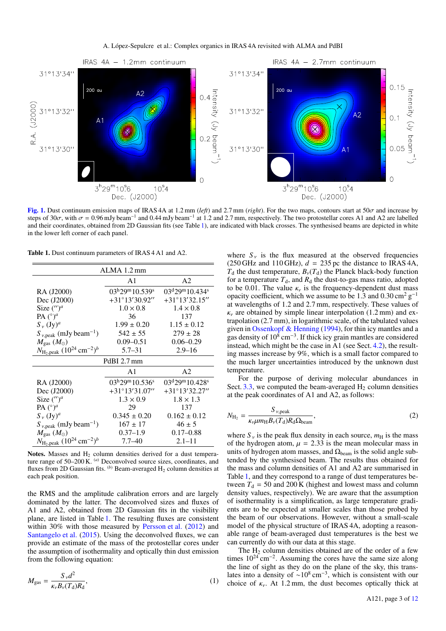

[Fig. 1.](http://dexter.edpsciences.org/applet.php?DOI=10.1051/0004-6361/201630334&pdf_id=1) Dust continuum emission maps of IRAS 4A at 1.2 mm (*left*) and 2.7 mm (*right*). For the two maps, contours start at 50σ and increase by steps of 30 $\sigma$ , with  $\sigma = 0.96$  mJy beam<sup>-1</sup> and 0.44 mJy beam<sup>-1</sup> at 1.2 and 2.7 mm, respectively. The two protostellar cores A1 and A2 are labelled<br>and their coordinates, obtained from 2D Gaussian fits (see Table 1), a and their coordinates, obtained from 2D Gaussian fits (see Table 1), are indicated with black crosses. The synthesised beams are depicted in white in the lower left corner of each panel.

Table 1. Dust continuum parameters of IRAS 4 A1 and A2.

| $ALMA$ 1.2 mm                                             |                                      |                         |  |  |  |
|-----------------------------------------------------------|--------------------------------------|-------------------------|--|--|--|
|                                                           | A1                                   | A <sub>2</sub>          |  |  |  |
| RA (J2000)                                                | $03^{\rm h}29^{\rm m}10.539^{\rm s}$ | $03d29m10.434s$         |  |  |  |
| Dec (J2000)                                               | $+31^{\circ}13'30.92''$              | $+31^{\circ}13'32.15''$ |  |  |  |
| Size $(')^a$                                              | $1.0 \times 0.8$                     | $1.4 \times 0.8$        |  |  |  |
| PA $({}^{\circ})^a$                                       | 36                                   | 137                     |  |  |  |
| $S_{v}$ $({\rm Jy})^a$                                    | $1.99 \pm 0.20$                      | $1.15 \pm 0.12$         |  |  |  |
| $S_{v,peak}$ (mJy beam <sup>-1</sup> )                    | $542 \pm 55$                         | $279 \pm 28$            |  |  |  |
| $M_{\rm gas}$ $(M_{\odot})$                               | $0.09 - 0.51$                        | $0.06 - 0.29$           |  |  |  |
| $N_{\text{H}_2, \text{peak}} (10^{24} \text{ cm}^{-2})^b$ | $5.7 - 31$                           | $2.9 - 16$              |  |  |  |
|                                                           | PdBI 2.7 mm                          |                         |  |  |  |
|                                                           | A1                                   | A2                      |  |  |  |
| RA (J2000)                                                | $03^{\rm h}29^{\rm m}10.536^{\rm s}$ | $03d29m10.428s$         |  |  |  |
| Dec (J2000)                                               | $+31^{\circ}13'31.07''$              | $+31^{\circ}13'32.27''$ |  |  |  |
| Size $('')^a$                                             | $1.3 \times 0.9$                     | $1.8 \times 1.3$        |  |  |  |
| PA $({}^{\circ})^a$                                       | 29                                   | 137                     |  |  |  |
| $S_{v}$ $({\rm Jy})^a$                                    | $0.345 \pm 0.20$                     | $0.162 \pm 0.12$        |  |  |  |
| $S_{v,peak}$ (mJy beam <sup>-1</sup> )                    | $167 \pm 17$                         | $46 \pm 5$              |  |  |  |
| $M_{\rm gas}$ ( $M_{\odot}$ )                             | $0.37 - 1.9$                         | $0.17 - 0.88$           |  |  |  |
| $N_{\text{H}_2, \text{peak}} (10^{24} \text{ cm}^{-2})^b$ | $7.7 - 40$                           | $2.1 - 11$              |  |  |  |

Notes. Masses and  $H_2$  column densities derived for a dust temperature range of 50–200 K. <sup>(a)</sup> Deconvolved source sizes, coordinates, and fluxes from 2D Gaussian fits.  $(b)$  Beam-averaged  $H_2$  column densities at each peak position.

the RMS and the amplitude calibration errors and are largely dominated by the latter. The deconvolved sizes and fluxes of A1 and A2, obtained from 2D Gaussian fits in the visibility plane, are listed in Table 1. The resulting fluxes are consistent within 30% with those measured by Persson et al. (2012) and Santangelo et al. (2015). Using the deconvolved fluxes, we can provide an estimate of the mass of the protostellar cores under the assumption of isothermality and optically thin dust emission from the following equation:

$$
M_{\rm gas} = \frac{S_{\nu} d^2}{\kappa_{\nu} B_{\nu} (T_{\rm d}) R_{\rm d}},\tag{1}
$$

where  $S_{\nu}$  is the flux measured at the observed frequencies  $(250 \text{ GHz and } 110 \text{ GHz}), d = 235 \text{ pc}$  the distance to IRAS 4A,  $T_d$  the dust temperature,  $B_v(T_d)$  the Planck black-body function for a temperature  $T_d$ , and  $R_d$  the dust-to-gas mass ratio, adopted to be 0.01. The value  $\kappa<sub>v</sub>$  is the frequency-dependent dust mass opacity coefficient, which we assume to be 1.3 and  $0.30 \text{ cm}^2 \text{ g}^{-1}$ at wavelengths of 1.2 and 2.7 mm, respectively. These values of  $\kappa<sub>v</sub>$  are obtained by simple linear interpolation (1.2 mm) and extrapolation (2.7 mm), in logarithmic scale, of the tabulated values given in Ossenkopf & Henning (1994), for thin icy mantles and a gas density of  $10^8 \text{ cm}^{-3}$ . If thick icy grain mantles are considered instead, which might be the case in A1 (see Sect. 4.2), the resulting masses increase by 9%, which is a small factor compared to the much larger uncertainties introduced by the unknown dust temperature.

For the purpose of deriving molecular abundances in Sect.  $3.3$ , we computed the beam-averaged  $H_2$  column densities at the peak coordinates of A1 and A2, as follows:

$$
N_{\text{H}_2} = \frac{S_{\nu,\text{peak}}}{\kappa_{\nu}\mu m_{\text{H}} B_{\nu}(T_{\text{d}}) R_{\text{d}} \Omega_{\text{beam}}},\tag{2}
$$

where  $S_v$  is the peak flux density in each source,  $m_H$  is the mass of the hydrogen atom,  $\mu = 2.33$  is the mean molecular mass in units of hydrogen atom masses, and  $\Omega_{\text{beam}}$  is the solid angle subtended by the synthesised beam. The results thus obtained for the mass and column densities of A1 and A2 are summarised in Table 1, and they correspond to a range of dust temperatures between  $T_d = 50$  and 200 K (highest and lowest mass and column density values, respectively). We are aware that the assumption of isothermality is a simplification, as large temperature gradients are to be expected at smaller scales than those probed by the beam of our observations. However, without a small-scale model of the physical structure of IRAS 4A, adopting a reasonable range of beam-averaged dust temperatures is the best we can currently do with our data at this stage.

The  $H_2$  column densities obtained are of the order of a few times  $10^{24}$  cm<sup>-2</sup>. Assuming the cores have the same size along the line of sight as they do on the plane of the sky, this translates into a density of  $\sim 10^8 \text{ cm}^{-3}$ , which is consistent with our choice of  $\kappa_{\nu}$ . At 1.2 mm, the dust becomes optically thick at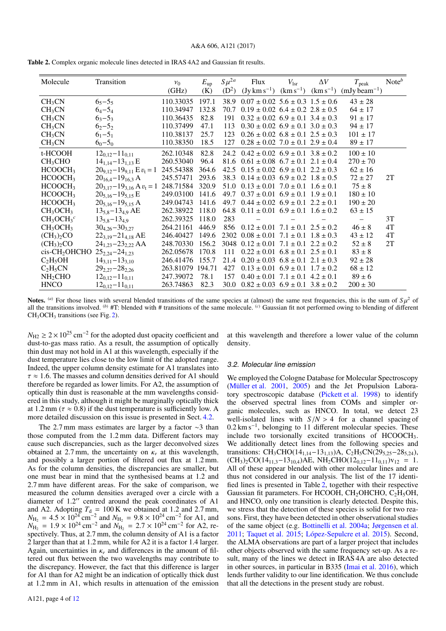|  |  |  |  | Table 2. Complex organic molecule lines detected in IRAS 4A2 and Gaussian fit results. |
|--|--|--|--|----------------------------------------------------------------------------------------|
|--|--|--|--|----------------------------------------------------------------------------------------|

| Molecule                           | Transition                          | $v_0$     | $E_{\rm up}$ | $S\mu^{2a}$ | Flux                                        | $V_{\rm 1sr}$               | $\Delta V$    | $T_{\rm peak}$                          | Note $b$ |
|------------------------------------|-------------------------------------|-----------|--------------|-------------|---------------------------------------------|-----------------------------|---------------|-----------------------------------------|----------|
|                                    |                                     | (GHz)     | (K)          | $(D^2)$     | $(Jy \, km s^{-1})$                         | $(km s^{-1})$               |               | $(km s^{-1})$ (mJy beam <sup>-1</sup> ) |          |
| CH <sub>3</sub> CN                 | $65 - 55$                           | 110.33035 | 197.1        | 38.9        | $0.07 \pm 0.02$ 5.6 $\pm$ 0.3 1.5 $\pm$ 0.6 |                             |               | $43 \pm 28$                             |          |
| CH <sub>3</sub> CN                 | $6_4 - 5_4$                         | 110.34947 | 132.8        | 70.7        | $0.19 \pm 0.02$ 6.4 $\pm$ 0.2 2.8 $\pm$ 0.5 |                             |               | $64 \pm 17$                             |          |
| CH <sub>3</sub> CN                 | $6_3 - 5_3$                         | 110.36435 | 82.8         | 191         | $0.32 \pm 0.02$ 6.9 $\pm$ 0.1 3.4 $\pm$ 0.3 |                             |               | $91 \pm 17$                             |          |
| CH <sub>3</sub> CN                 | $62 - 52$                           | 110.37499 | 47.1         | 113         | $0.30 \pm 0.02$ 6.9 $\pm$ 0.1 3.0 $\pm$ 0.3 |                             |               | $94 \pm 17$                             |          |
| CH <sub>3</sub> CN                 | $61-51$                             | 110.38137 | 25.7         | 123         | $0.26 \pm 0.02$ $6.8 \pm 0.1$ $2.5 \pm 0.3$ |                             |               | $101 \pm 17$                            |          |
| CH <sub>3</sub> CN                 | $6_0 - 5_0$                         | 110.38350 | 18.5         | 127         | $0.28 \pm 0.02$ 7.0 $\pm$ 0.1 2.9 $\pm$ 0.4 |                             |               | $89 \pm 17$                             |          |
| t-HCOOH                            | $12_{0,12} - 11_{0,11}$             | 262.10348 | 82.8         | 24.2        | $0.42 \pm 0.02$ $6.9 \pm 0.1$ $3.8 \pm 0.2$ |                             |               | $100 \pm 10$                            |          |
| CH <sub>3</sub> CHO                | $14_{1,14} - 13_{1,13}$ E           | 260.53040 | 96.4         | 81.6        | $0.61 \pm 0.08$ $6.7 \pm 0.1$ $2.1 \pm 0.4$ |                             |               | $270 \pm 70$                            |          |
| HCOOCH <sub>3</sub>                | $20_{9,12} - 19_{9,11}$ E $v_t = 1$ | 245.54388 | 364.6        | 42.5        | $0.15 \pm 0.02$ $6.9 \pm 0.1$ $2.2 \pm 0.3$ |                             |               | $62 \pm 16$                             |          |
| HCOOCH <sub>3</sub>                | $20_{16,4} - 19_{16,3}$ A           | 245.57471 | 293.6        | 38.3        | $0.14 \pm 0.03$ $6.9 \pm 0.2$ $1.8 \pm 0.5$ |                             |               | $72 \pm 27$                             | 2T       |
| HCOOCH <sub>3</sub>                | $20_{3.17} - 19_{3.16}$ A $v_t = 1$ | 248.71584 | 320.9        | 51.0        | $0.13 \pm 0.01$ $7.0 \pm 0.1$ $1.6 \pm 0.1$ |                             |               | $75 \pm 8$                              |          |
| HCOOCH <sub>3</sub>                | $20_{5.16} - 19_{5.15}$ E           | 249.03100 | 141.6        | 49.7        | $0.37 \pm 0.01$ 6.9 $\pm$ 0.1 1.9 $\pm$ 0.1 |                             |               | $180 \pm 10$                            |          |
| HCOOCH <sub>3</sub>                | $20_{5,16} - 19_{5,15}$ A           | 249.04743 | 141.6        | 49.7        | $0.44 \pm 0.02$ 6.9 $\pm$ 0.1 2.2 $\pm$ 0.1 |                             |               | $190 \pm 20$                            |          |
| CH <sub>3</sub> OCH <sub>3</sub>   | $13_{5,8} - 13_{4,9}$ AE            | 262.38922 | 118.0        | 64.8        | $0.11 \pm 0.01$ $6.9 \pm 0.1$ $1.6 \pm 0.2$ |                             |               | $63 \pm 15$                             |          |
| $CH_3OCH_3^c$                      | $13_{5,8}-13_{4,9}$                 | 262.39325 | 118.0        | 283         |                                             |                             |               |                                         | 3T       |
| CH <sub>3</sub> OCH <sub>3</sub>   | $30_{4,26} - 30_{3,27}$             | 264.21161 | 446.9        | 856         | $0.12 \pm 0.01$ $7.1 \pm 0.1$ $2.5 \pm 0.2$ |                             |               | $46 \pm 8$                              | 4T       |
| (CH <sub>3</sub> ) <sub>2</sub> CO | $22_{3.19} - 21_{4.18}$ AE          | 246.40427 | 149.6        | 2302        | $0.08 \pm 0.01$                             | $7.1 \pm 0.1$               | $1.8 + 0.3$   | $43 \pm 12$                             | 4T       |
| $(CH_3)_2CO$                       | $24_{1,23} - 23_{2,22}$ AA          | 248.70330 | 156.2        | 3048        | $0.12 \pm 0.01$                             | $7.1 \pm 0.1$               | $2.2 \pm 0.2$ | $52 \pm 8$                              | 2T       |
| cis-CH <sub>2</sub> OHCHO          | $25_{2,24} - 24_{1,23}$             | 262.05678 | 170.8        | 111         | $0.22 \pm 0.01$ $6.8 \pm 0.1$ $2.5 \pm 0.1$ |                             |               | $83 \pm 8$                              |          |
| $C_2H_5OH$                         | $14_{3,11}-13_{3,10}$               | 246.41476 | 155.7        | 21.4        | $0.20 \pm 0.03$                             | $6.8 \pm 0.1$ $2.1 \pm 0.3$ |               | $92 \pm 28$                             |          |
| $C_2H_5CN$                         | $29_{2,27} - 28_{2,26}$             | 263.81079 | 194.71       | 427         | $0.13 \pm 0.01$                             | $6.9 \pm 0.1$               | $1.7 \pm 0.2$ | $68 \pm 12$                             |          |
| NH <sub>2</sub> CHO                | $12_{0.12} - 11_{0.11}$             | 247.39072 | 78.1         | 157         | $0.40 \pm 0.01$ $7.1 \pm 0.1$               |                             | $4.2 \pm 0.1$ | $89 \pm 6$                              |          |
| <b>HNCO</b>                        | $12_{0.12} - 11_{0.11}$             | 263.74863 | 82.3         | 30.0        | $0.82 \pm 0.03$ $6.9 \pm 0.1$ $3.8 \pm 0.2$ |                             |               | $200 \pm 30$                            |          |

**Notes.** (a) For those lines with several blended transitions of the same species at (almost) the same rest frequencies, this is the sum of  $S\mu^2$  of all the transitions involved (b)  $\#\text{T}$  blended with  $\#\text{ transitions}$  of the all the transitions involved. (*b*) #T: blended with # transitions of the same molecule. (*c*) Gaussian fit not performed owing to blending of different  $CH<sub>3</sub>OCH<sub>3</sub>$  transitions (see Fig. 2).

 $N_{\text{H2}} \geq 2 \times 10^{25} \text{ cm}^{-2}$  for the adopted dust opacity coefficient and dust-to-gas mass ratio. As a result, the assumption of optically thin dust may not hold in A1 at this wavelength, especially if the dust temperature lies close to the low limit of the adopted range. Indeed, the upper column density estimate for A1 translates into  $\tau \approx 1.6$ . The masses and column densities derived for A1 should therefore be regarded as lower limits. For A2, the assumption of optically thin dust is reasonable at the mm wavelengths considered in this study, although it might be marginally optically thick at 1.2 mm ( $\tau \approx 0.8$ ) if the dust temperature is sufficiently low. A more detailed discussion on this issue is presented in Sect. 4.2.

The 2.7 mm mass estimates are larger by a factor ∼3 than those computed from the 1.2 mm data. Different factors may cause such discrepancies, such as the larger deconvolved sizes obtained at 2.7 mm, the uncertainty on  $\kappa<sub>v</sub>$  at this wavelength, and possibly a larger portion of filtered out flux at 1.2 mm. As for the column densities, the discrepancies are smaller, but one must bear in mind that the synthesised beams at 1.2 and 2.7 mm have different areas. For the sake of comparison, we measured the column densities averaged over a circle with a diameter of  $1.2$ " centred around the peak coordinates of A1 and A2. Adopting  $T_d = 100 \text{ K}$  we obtained at 1.2 and 2.7 mm,  $N_{\text{H}_2} = 4.5 \times 10^{24} \text{ cm}^{-2}$  and  $N_{\text{H}_2} = 9.8 \times 10^{24} \text{ cm}^{-2}$  for A1, and  $N_{\text{H}_2} = 1.9 \times 10^{24} \text{ cm}^{-2}$  and  $N_{\text{H}_2} = 2.7 \times 10^{24} \text{ cm}^{-2}$  for A2, re- $N_{\text{H}_2} = 1.9 \times 10^{24} \text{ cm}^{-2}$  and  $N_{\text{H}_2} = 2.7 \times 10^{24} \text{ cm}^{-2}$  for A2, respectively. Thus at 2.7 mm, the column density of A1 is a factor spectively. Thus, at 2.7 mm, the column density of A1 is a factor 2 larger than that at 1.2 mm, while for A2 it is a factor 1.4 larger. Again, uncertainties in  $\kappa<sub>v</sub>$  and differences in the amount of filtered out flux between the two wavelengths may contribute to the discrepancy. However, the fact that this difference is larger for A1 than for A2 might be an indication of optically thick dust at 1.2 mm in A1, which results in attenuation of the emission at this wavelength and therefore a lower value of the column density.

#### 3.2. Molecular line emission

We employed the Cologne Database for Molecular Spectroscopy (Müller et al. 2001, 2005) and the Jet Propulsion Laboratory spectroscopic database (Pickett et al. 1998) to identify the observed spectral lines from COMs and simpler organic molecules, such as HNCO. In total, we detect 23 well-isolated lines with  $S/N > 4$  for a channel spacing of 0.2 km s<sup>-1</sup>, belonging to 11 different molecular species. These include two torsionally excited transitions of HCOOCH3. We additionally detect lines from the following species and transitions: CH<sub>3</sub>CHO(14<sub>1,14</sub>–13<sub>1,13</sub>)A, C<sub>2</sub>H<sub>5</sub>CN(29<sub>5,25</sub>–28<sub>5,24</sub>),  $(CH_3)_2CO(14_{11,3}-13_{10,4})AE$ , NH<sub>2</sub>CHO(12<sub>0,12</sub>-11<sub>0,11</sub>)v<sub>12</sub> = 1. All of these appear blended with other molecular lines and are thus not considered in our analysis. The list of the 17 identified lines is presented in Table 2, together with their respective Gaussian fit parameters. For HCOOH, CH<sub>2</sub>OHCHO, C<sub>2</sub>H<sub>5</sub>OH, and HNCO, only one transition is clearly detected. Despite this, we stress that the detection of these species is solid for two reasons. First, they have been detected in other observational studies of the same object (e.g. Bottinelli et al. 2004a; Jørgensen et al. 2011; Taquet et al. 2015; López-Sepulcre et al. 2015). Second, the ALMA observations are part of a larger project that includes other objects observed with the same frequency set-up. As a result, many of the lines we detect in IRAS 4A are also detected in other sources, in particular in B335 (Imai et al. 2016), which lends further validity to our line identification. We thus conclude that all the detections in the present study are robust.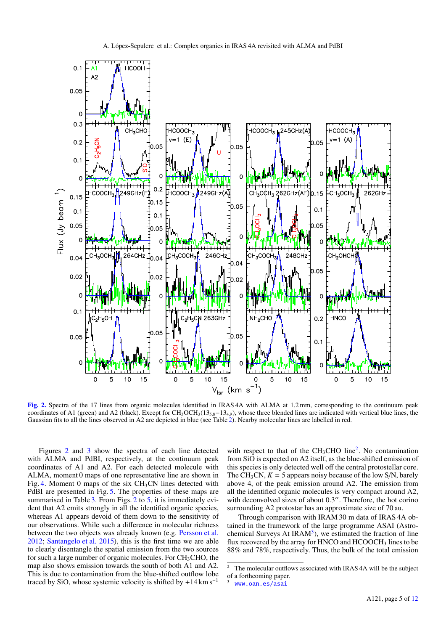

[Fig. 2.](http://dexter.edpsciences.org/applet.php?DOI=10.1051/0004-6361/201630334&pdf_id=2) Spectra of the 17 lines from organic molecules identified in IRAS 4A with ALMA at 1.2 mm, corresponding to the continuum peak coordinates of A1 (green) and A2 (black). Except for CH<sub>3</sub>OCH<sub>3</sub>(13<sub>5,8</sub>-13<sub>4,9</sub>), whose three blended lines are indicated with vertical blue lines, the Gaussian fits to all the lines observed in A2 are depicted in blue (see Table 2). Nearby molecular lines are labelled in red.

Figures 2 and 3 show the spectra of each line detected with ALMA and PdBI, respectively, at the continuum peak coordinates of A1 and A2. For each detected molecule with ALMA, moment 0 maps of one representative line are shown in Fig. 4. Moment 0 maps of the six  $CH<sub>3</sub>CN$  lines detected with PdBI are presented in Fig. 5. The properties of these maps are summarised in Table 3. From Figs. 2 to 5, it is immediately evident that A2 emits strongly in all the identified organic species, whereas A1 appears devoid of them down to the sensitivity of our observations. While such a difference in molecular richness between the two objects was already known (e.g. Persson et al. 2012; Santangelo et al. 2015), this is the first time we are able to clearly disentangle the spatial emission from the two sources for such a large number of organic molecules. For  $CH<sub>3</sub>CHO$ , the map also shows emission towards the south of both A1 and A2. This is due to contamination from the blue-shifted outflow lobe traced by SiO, whose systemic velocity is shifted by  $+14 \text{ km s}^{-1}$ 

with respect to that of the  $CH<sub>3</sub>CHO$  line<sup>2</sup>. No contamination from SiO is expected on A2 itself, as the blue-shifted emission of this species is only detected well off the central protostellar core. The  $CH_3CN$ ,  $K = 5$  appears noisy because of the low S/N, barely above 4, of the peak emission around A2. The emission from all the identified organic molecules is very compact around A2, with deconvolved sizes of about  $0.3$ ". Therefore, the hot corino surrounding A2 protostar has an approximate size of 70 au.

Through comparison with IRAM 30 m data of IRAS 4A obtained in the framework of the large programme ASAI (Astrochemical Surveys At IRA $M<sup>3</sup>$ ), we estimated the fraction of line flux recovered by the array for HNCO and HCOOCH<sub>3</sub> lines to be 88% and 78%, respectively. Thus, the bulk of the total emission

The molecular outflows associated with IRAS 4A will be the subject of a forthcoming paper.

<www.oan.es/asai>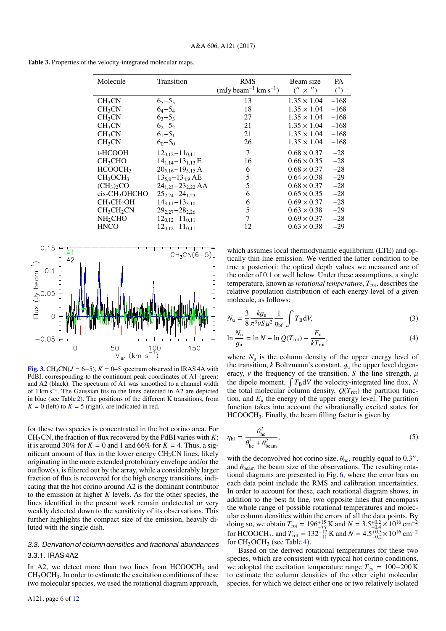Table 3. Properties of the velocity-integrated molecular maps.

| Molecule                           | Transition                 | <b>RMS</b><br>$(mJy beam^{-1} km s^{-1})$ | Beam size<br>$('' \times'')$ | <b>PA</b><br>$(^\circ)$ |
|------------------------------------|----------------------------|-------------------------------------------|------------------------------|-------------------------|
|                                    |                            | 13                                        | $1.35 \times 1.04$           | $-168$                  |
| CH <sub>3</sub> CN                 | $65 - 55$                  |                                           |                              |                         |
| CH <sub>3</sub> CN                 | $6_4 - 5_4$                | 18                                        | $1.35 \times 1.04$           | $-168$                  |
| CH <sub>3</sub> CN                 | $63 - 53$                  | 27                                        | $1.35 \times 1.04$           | $-168$                  |
| CH <sub>3</sub> CN                 | $6_{2} - 5_{2}$            | 21                                        | $1.35 \times 1.04$           | $-168$                  |
| CH <sub>3</sub> CN                 | $61-51$                    | 21                                        | $1.35 \times 1.04$           | $-168$                  |
| CH <sub>3</sub> CN                 | $60 - 50$                  | 26                                        | $1.35 \times 1.04$           | $-168$                  |
| t-HCOOH                            | $12_{0.12} - 11_{0.11}$    | 7                                         | $0.68 \times 0.37$           | $-28$                   |
| CH <sub>3</sub> CHO                | $14_{1,14} - 13_{1,13}$ E  | 16                                        | $0.66 \times 0.35$           | $-28$                   |
| HCOOCH <sub>3</sub>                | $20_{5,16} - 19_{5,15}$ A  | 6                                         | $0.68 \times 0.37$           | $-28$                   |
| CH <sub>3</sub> OCH <sub>3</sub>   | $13_{5,8} - 13_{4,9}$ AE   | 5                                         | $0.64 \times 0.38$           | $-29$                   |
| $(CH_3)$ <sub>2</sub> CO           | $24_{1,23} - 23_{2,22}$ AA | 5                                         | $0.68 \times 0.37$           | $-28$                   |
| cis-CH <sub>2</sub> OHCHO          | $25_{2,24} - 24_{1,23}$    | 6                                         | $0.65 \times 0.35$           | $-28$                   |
| CH <sub>3</sub> CH <sub>2</sub> OH | $14_{3,11}-13_{3,10}$      | 6                                         | $0.69 \times 0.37$           | $-28$                   |
| CH <sub>3</sub> CH <sub>2</sub> CN | $29_{2,27} - 28_{2,26}$    | 5                                         | $0.63 \times 0.38$           | $-29$                   |
| NH <sub>2</sub> CHO                | $12_{0.12} - 11_{0.11}$    | 7                                         | $0.69 \times 0.37$           | $-28$                   |
| <b>HNCO</b>                        | $12_{0.12} - 11_{0.11}$    | 12                                        | $0.63 \times 0.38$           | $-29$                   |
|                                    |                            |                                           |                              |                         |



[Fig. 3.](http://dexter.edpsciences.org/applet.php?DOI=10.1051/0004-6361/201630334&pdf_id=3) CH<sub>3</sub>CN( $J = 6-5$ ),  $K = 0-5$  spectrum observed in IRAS 4A with PdBI, corresponding to the continuum peak coordinates of A1 (green) and A2 (black). The spectrum of A1 was smoothed to a channel width of 1 km s<sup>−</sup><sup>1</sup> . The Gaussian fits to the lines detected in A2 are depicted in blue (see Table 2). The positions of the different K transitions, from  $K = 0$  (left) to  $K = 5$  (right), are indicated in red.

for these two species is concentrated in the hot corino area. For CH<sub>3</sub>CN, the fraction of flux recovered by the PdBI varies with  $K$ ; it is around 30% for  $K = 0$  and 1 and 66% for  $K = 4$ . Thus, a significant amount of flux in the lower energy  $CH<sub>3</sub>CN$  lines, likely originating in the more extended protobinary envelope and/or the outflow(s), is filtered out by the array, while a considerably larger fraction of flux is recovered for the high energy transitions, indicating that the hot corino around A2 is the dominant contributor to the emission at higher *K* levels. As for the other species, the lines identified in the present work remain undetected or very weakly detected down to the sensitivity of its observations. This further highlights the compact size of the emission, heavily diluted with the single dish.

## 3.3. Derivation of column densities and fractional abundances 3.3.1. IRAS 4A2

In A2, we detect more than two lines from  $HCOOCH<sub>3</sub>$  and  $CH<sub>3</sub>OCH<sub>3</sub>$ . In order to estimate the excitation conditions of these two molecular species, we used the rotational diagram approach,

which assumes local thermodynamic equilibrium (LTE) and optically thin line emission. We verified the latter condition to be true a posteriori: the optical depth values we measured are of the order of 0.1 or well below. Under these assumptions, a single temperature, known as *rotational temperature*,  $T_{\text{rot}}$ , describes the relative population distribution of each energy level of a given molecule, as follows:

$$
N_{\rm u} = \frac{3}{8} \frac{k g_{\rm u}}{\pi^3 \nu S \mu^2} \frac{1}{\eta_{\rm bf}} \int T_{\rm B} dV,
$$
\n<sup>(3)</sup>

$$
\ln \frac{N_{\rm u}}{g_{\rm u}} = \ln N - \ln Q(T_{\rm rot}) - \frac{E_{\rm u}}{kT_{\rm rot}},\tag{4}
$$

where  $N_u$  is the column density of the upper energy level of the transition,  $k$  Boltzmann's constant,  $q<sub>u</sub>$  the upper level degeneracy,  $\nu$  the frequency of the transition, *S* the line strength,  $\mu$ the dipole moment,  $\int T_B dV$  the velocity-integrated line flux, *N* the total molecular column density,  $Q(T_{\text{rot}})$  the partition function, and  $E<sub>u</sub>$  the energy of the upper energy level. The partition function takes into account the vibrationally excited states for  $HCOOCH<sub>3</sub>$ . Finally, the beam filling factor is given by

$$
\eta_{\rm bf} = \frac{\theta_{\rm hc}^2}{\theta_{\rm hc}^2 + \theta_{\rm beam}^2},\tag{5}
$$

with the deconvolved hot corino size,  $\theta_{hc}$ , roughly equal to 0.3", and  $\theta_{beam}$  the beam size of the observations. The resulting rotaand  $\theta_{\text{beam}}$  the beam size of the observations. The resulting rotational diagrams are presented in Fig. 6, where the error bars on each data point include the RMS and calibration uncertainties. In order to account for these, each rotational diagram shows, in addition to the best fit line, two opposite lines that encompass the whole range of possible rotational temperatures and molecular column densities within the errors of all the data points. By doing so, we obtain  $T_{\text{rot}} = 196^{+15}_{-35}$  K and  $N = 3.5^{+0.2}_{-0.4} \times 10^{16}$  cm<sup>-2</sup><br>for HCOOCH, and  $T_{\text{rot}} = 132^{+17}$  K and  $N = 4.5^{+0.3}_{-0.3} \times 10^{16}$  cm<sup>-2</sup> for HCOOCH<sub>3</sub>, and  $T_{\text{rot}} = 132^{+17}_{-11}$  K and  $N = 4.5^{+0.3}_{-0.2} \times 10^{16}$  cm<sup>-2</sup><br>for CH<sub>2</sub>OCH<sub>2</sub> (see Table 4). for  $CH<sub>3</sub>OCH<sub>3</sub>$  (see Table 4).

Based on the derived rotational temperatures for these two species, which are consistent with typical hot corino conditions, we adopted the excitation temperature range  $T_{ex} = 100-200 \text{ K}$ to estimate the column densities of the other eight molecular species, for which we detect either one or two relatively isolated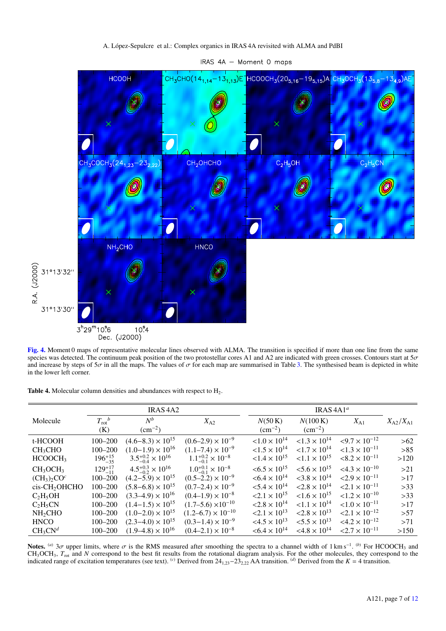### A. López-Sepulcre et al.: Complex organics in IRAS 4A revisited with ALMA and PdBI



IRAS 4A - Moment 0 maps

[Fig. 4.](http://dexter.edpsciences.org/applet.php?DOI=10.1051/0004-6361/201630334&pdf_id=4) Moment 0 maps of representative molecular lines observed with ALMA. The transition is specified if more than one line from the same species was detected. The continuum peak position of the two protostellar cores A species was detected. The continuum peak position of the two protostellar cores A1 and A2 are indicated with green crosses. Contours start at  $5\sigma$ <br>and increase by steps of  $5\sigma$  in all the maps. The values of  $\sigma$  for ea and increase by steps of 5 $\sigma$  in all the maps. The values of  $\sigma$  for each map are summarised in Table 3. The synthesised beam is depicted in white<br>in the lower left corner in the lower left corner.

| Table 4. Molecular column densities and abundances with respect to $H_2$ . |  |  |  |  |
|----------------------------------------------------------------------------|--|--|--|--|
|----------------------------------------------------------------------------|--|--|--|--|

R.A. (J2000)

|                                  | <b>IRAS 4A2</b>          |                                    |                                    |                              |                                   |                            |                         |
|----------------------------------|--------------------------|------------------------------------|------------------------------------|------------------------------|-----------------------------------|----------------------------|-------------------------|
| Molecule                         | $T_{\rm rot}{}^b$<br>(K) | $N^b$<br>$\rm (cm^{-2})$           | $X_{A2}$                           | N(50 K)<br>$\rm (cm^{-2})$   | N(100 K)<br>$\rm (cm^{-2})$       | $X_{A1}$                   | $X_{\rm A2}/X_{\rm A1}$ |
| t-HCOOH                          | $100 - 200$              | $(4.6-8.3) \times 10^{15}$         | $(0.6-2.9) \times 10^{-9}$         | $< 1.0 \times 10^{14}$       | $< 1.3 \times 10^{14}$            | $\leq 9.7 \times 10^{-12}$ | >62                     |
| CH <sub>3</sub> CHO              | $100 - 200$              | $(1.0-1.9) \times 10^{16}$         | $(1.1-7.4) \times 10^{-9}$         | $< 1.5 \times 10^{14}$       | $< 1.7 \times 10^{14}$            | $<1.3 \times 10^{-11}$     | >85                     |
| HCOOCH <sub>3</sub>              | $196^{+15}_{-35}$        | $3.5^{+0.2}_{-0.4} \times 10^{16}$ | $1.1^{+0.2}_{-0.1}\times10^{-8}$   | $< 1.4 \times 10^{15}$       | $< 1.1 \times 10^{15}$            | $\leq 8.2 \times 10^{-11}$ | >120                    |
| CH <sub>3</sub> OCH <sub>3</sub> | $129^{+17}_{-11}$        | $4.5^{+0.3}_{-0.2} \times 10^{16}$ | $1.0^{+0.1}_{-0.1} \times 10^{-8}$ | $< 6.5 \times 10^{15}$       | $< 5.6 \times 10^{15}$            | $<4.3 \times 10^{-10}$     | >21                     |
| $(CH_3)_2CO^c$                   | $100 - 200$              | $(4.2-5.9) \times 10^{15}$         | $(0.5-2.2) \times 10^{-9}$         | $< 6.4 \times 10^{14}$       | $<$ 3.8 $\times$ 10 <sup>14</sup> | $2.9 \times 10^{-11}$      | >17                     |
| cis-CH <sub>2</sub> OHCHO        | $100 - 200$              | $(5.8-6.8) \times 10^{15}$         | $(0.7-2.4) \times 10^{-9}$         | $< 5.4 \times 10^{14}$       | $< 2.8 \times 10^{14}$            | $\leq 2.1 \times 10^{-11}$ | $>33$                   |
| $C_2H_5OH$                       | $100 - 200$              | $(3.3-4.9) \times 10^{16}$         | $(0.4-1.9) \times 10^{-8}$         | $< 2.1 \times 10^{15}$       | $< 1.6 \times 10^{15}$            | $< 1.2 \times 10^{-10}$    | >33                     |
| $C_2H_5CN$                       | $100 - 200$              | $(1.4-1.5) \times 10^{15}$         | $(1.7-5.6) \times 10^{-10}$        | $< 2.8 \times 10^{14}$       | $< 1.1 \times 10^{14}$            | $< 1.0 \times 10^{-11}$    | >17                     |
| NH <sub>2</sub> CHO              | $100 - 200$              | $(1.0-2.0) \times 10^{15}$         | $(1.2-6.7) \times 10^{-10}$        | $\approx 2.1 \times 10^{13}$ | $< 2.8 \times 10^{13}$            | $< 2.1 \times 10^{-12}$    | >57                     |
| <b>HNCO</b>                      | $100 - 200$              | $(2.3-4.0) \times 10^{15}$         | $(0.3-1.4) \times 10^{-9}$         | $<4.5\times10^{13}$          | $\approx 5.5 \times 10^{13}$      | $<4.2\times10^{-12}$       | >71                     |
| CH <sub>3</sub> CN <sup>d</sup>  | $100 - 200$              | $(1.9-4.8) \times 10^{16}$         | $(0.4-2.1) \times 10^{-8}$         | $< 6.4 \times 10^{14}$       | $< 4.8 \times 10^{14}$            | $< 2.7 \times 10^{-11}$    | >150                    |
|                                  |                          |                                    |                                    |                              |                                   |                            |                         |

**Notes.** (a)  $3\sigma$  upper limits, where  $\sigma$  is the RMS measured after smoothing the spectra to a channel width of 1 km s<sup>−1</sup>. (b) For HCOOCH<sub>3</sub> and  $N$  correspond to the best fit results from the rotational diagram analy CH<sub>3</sub>OCH<sub>3</sub>,  $T_{\text{rot}}$  and *N* correspond to the best fit results from the rotational diagram analysis. For the other molecules, they correspond to the indicated range of excitation temperatures (see text). (*c*) Derived from 24<sup>1</sup>,<sup>23</sup>−23<sup>2</sup>,<sup>22</sup> AA transition. (*d*) Derived from the *<sup>K</sup>* <sup>=</sup> 4 transition.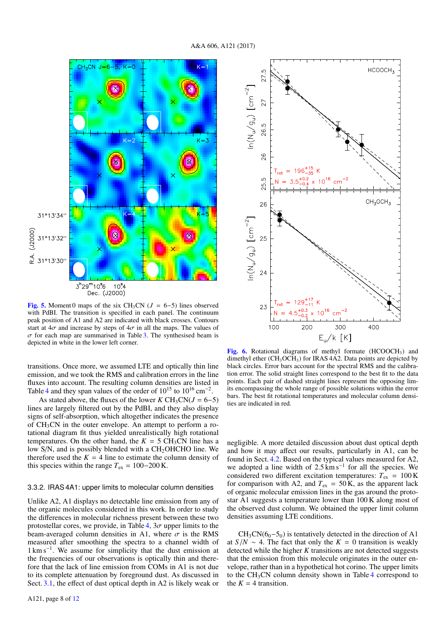

[Fig. 5.](http://dexter.edpsciences.org/applet.php?DOI=10.1051/0004-6361/201630334&pdf_id=5) Moment 0 maps of the six CH<sub>3</sub>CN ( $J = 6-5$ ) lines observed with PdBI. The transition is specified in each panel. The continuum peak position of A1 and A2 are indicated with black crosses. Contours start at  $4\sigma$  and increase by steps of  $4\sigma$  in all the maps. The values of  $\sigma$  for each map are summarised in Table 3. The synthesised beam is depicted in white in the lower left corner.

transitions. Once more, we assumed LTE and optically thin line emission, and we took the RMS and calibration errors in the line fluxes into account. The resulting column densities are listed in Table 4 and they span values of the order of  $10^{15}$  to  $10^{16}$  cm<sup>-2</sup>.

As stated above, the fluxes of the lower  $KCH_3CN(J = 6–5)$ lines are largely filtered out by the PdBI, and they also display signs of self-absorption, which altogether indicates the presence of  $CH<sub>3</sub>CN$  in the outer envelope. An attempt to perform a rotational diagram fit thus yielded unrealistically high rotational temperatures. On the other hand, the  $K = 5 \text{ CH}_3\text{CN}$  line has a low  $S/N$ , and is possibly blended with a  $CH<sub>2</sub>OHCHO$  line. We therefore used the  $K = 4$  line to estimate the column density of this species within the range  $T_{ex} = 100-200$  K.

#### 3.3.2. IRAS 4A1: upper limits to molecular column densities

Unlike A2, A1 displays no detectable line emission from any of the organic molecules considered in this work. In order to study the differences in molecular richness present between these two protostellar cores, we provide, in Table 4,  $3\sigma$  upper limits to the beam-averaged column densities in A1, where  $\sigma$  is the RMS measured after smoothing the spectra to a channel width of 1 km s<sup>−</sup><sup>1</sup> . We assume for simplicity that the dust emission at the frequencies of our observations is optically thin and therefore that the lack of line emission from COMs in A1 is not due to its complete attenuation by foreground dust. As discussed in Sect. 3.1, the effect of dust optical depth in A2 is likely weak or



[Fig. 6.](http://dexter.edpsciences.org/applet.php?DOI=10.1051/0004-6361/201630334&pdf_id=6) Rotational diagrams of methyl formate  $(HCOOCH<sub>3</sub>)$  and dimethyl ether  $(CH_3OCH_3)$  for IRAS 4A2. Data points are depicted by black circles. Error bars account for the spectral RMS and the calibration error. The solid straight lines correspond to the best fit to the data points. Each pair of dashed straight lines represent the opposing limits encompassing the whole range of possible solutions within the error bars. The best fit rotational temperatures and molecular column densities are indicated in red.

negligible. A more detailed discussion about dust optical depth and how it may affect our results, particularly in A1, can be found in Sect. 4.2. Based on the typical values measured for A2, we adopted a line width of  $2.5 \text{ km s}^{-1}$  for all the species. We considered two different excitation temperatures:  $T_{\text{ex}} = 100 \text{ K}$ for comparison with A2, and  $T_{ex} = 50$  K, as the apparent lack of organic molecular emission lines in the gas around the protostar A1 suggests a temperature lower than 100 K along most of the observed dust column. We obtained the upper limit column densities assuming LTE conditions.

 $CH<sub>3</sub>CN(6<sub>0</sub>–5<sub>0</sub>)$  is tentatively detected in the direction of A1 at  $S/N \sim 4$ . The fact that only the  $K = 0$  transition is weakly detected while the higher *K* transitions are not detected suggests that the emission from this molecule originates in the outer envelope, rather than in a hypothetical hot corino. The upper limits to the  $CH<sub>3</sub>CN$  column density shown in Table 4 correspond to the  $K = 4$  transition.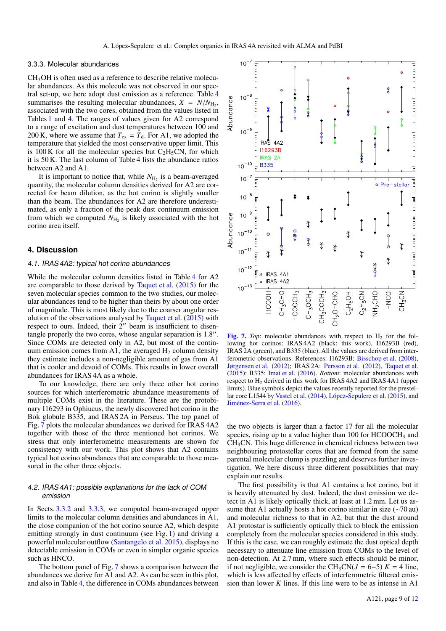#### 3.3.3. Molecular abundances

CH3OH is often used as a reference to describe relative molecular abundances. As this molecule was not observed in our spectral set-up, we here adopt dust emission as a reference. Table 4 summarises the resulting molecular abundances,  $X = N/N_{\text{H}_2}$ , associated with the two cores obtained from the values listed in associated with the two cores, obtained from the values listed in Tables 1 and 4. The ranges of values given for A2 correspond to a range of excitation and dust temperatures between 100 and 200 K, where we assume that  $T_{ex} = T_d$ . For A1, we adopted the temperature that yielded the most conservative upper limit. This is 100 K for all the molecular species but  $C_2H_5CN$ , for which it is 50 K. The last column of Table 4 lists the abundance ratios between A2 and A1.

It is important to notice that, while  $N_{\rm H_2}$  is a beam-averaged quantity, the molecular column densities derived for A2 are corrected for beam dilution, as the hot corino is slightly smaller than the beam. The abundances for A2 are therefore underestimated, as only a fraction of the peak dust continuum emission from which we computed  $N_{\text{H}_2}$  is likely associated with the hot corino area itself.

## **4. Discussion**

## 4.1. IRAS 4A2: typical hot corino abundances

While the molecular column densities listed in Table 4 for A2 are comparable to those derived by Taquet et al. (2015) for the seven molecular species common to the two studies, our molecular abundances tend to be higher than theirs by about one order of magnitude. This is most likely due to the coarser angular resolution of the observations analysed by Taquet et al. (2015) with respect to ours. Indeed, their  $2^{\prime\prime}$  beam is insufficient to disentangle properly the two cores, whose angular separation is  $1.8$ ". Since COMs are detected only in A2, but most of the continuum emission comes from A1, the averaged  $H_2$  column density they estimate includes a non-negligible amount of gas from A1 that is cooler and devoid of COMs. This results in lower overall abundances for IRAS 4A as a whole.

To our knowledge, there are only three other hot corino sources for which interferometric abundance measurements of multiple COMs exist in the literature. These are the protobinary I16293 in Ophiucus, the newly discovered hot corino in the Bok globule B335, and IRAS 2A in Perseus. The top panel of Fig. 7 plots the molecular abundances we derived for IRAS 4A2 together with those of the three mentioned hot corinos. We stress that only interferometric measurements are shown for consistency with our work. This plot shows that A2 contains typical hot corino abundances that are comparable to those measured in the other three objects.

## 4.2. IRAS 4A1: possible explanations for the lack of COM emission

In Sects. 3.3.2 and 3.3.3, we computed beam-averaged upper limits to the molecular column densities and abundances in A1, the close companion of the hot corino source A2, which despite emitting strongly in dust continuum (see Fig. 1) and driving a powerful molecular outflow (Santangelo et al. 2015), displays no detectable emission in COMs or even in simpler organic species such as HNCO.

The bottom panel of Fig. 7 shows a comparison between the abundances we derive for A1 and A2. As can be seen in this plot, and also in Table 4, the difference in COMs abundances between



[Fig. 7.](http://dexter.edpsciences.org/applet.php?DOI=10.1051/0004-6361/201630334&pdf_id=7) *Top*: molecular abundances with respect to  $H_2$  for the following hot corinos: IRAS 4A2 (black; this work), I16293B (red), IRAS 2A (green), and B335 (blue). All the values are derived from interferometric observations. References: I16293B: Bisschop et al. (2008), Jørgensen et al. (2012); IRAS 2A: Persson et al. (2012), Taquet et al. (2015); B335: Imai et al. (2016). *Bottom*: molecular abundances with respect to H<sup>2</sup> derived in this work for IRAS 4A2 and IRAS 4A1 (upper limits). Blue symbols depict the values recently reported for the prestellar core L1544 by Vastel et al. (2014), López-Sepulcre et al. (2015), and Jiménez-Serra et al. (2016).

the two objects is larger than a factor 17 for all the molecular species, rising up to a value higher than 100 for HCOOCH<sub>3</sub> and CH3CN. This huge difference in chemical richness between two neighbouring protostellar cores that are formed from the same parental molecular clump is puzzling and deserves further investigation. We here discuss three different possibilities that may explain our results.

The first possibility is that A1 contains a hot corino, but it is heavily attenuated by dust. Indeed, the dust emission we detect in A1 is likely optically thick, at least at 1.2 mm. Let us assume that A1 actually hosts a hot corino similar in size (∼70 au) and molecular richness to that in A2, but that the dust around A1 protostar is sufficiently optically thick to block the emission completely from the molecular species considered in this study. If this is the case, we can roughly estimate the dust optical depth necessary to attenuate line emission from COMs to the level of non-detection. At 2.7 mm, where such effects should be minor, if not negligible, we consider the CH<sub>3</sub>CN( $J = 6-5$ )  $K = 4$  line, which is less affected by effects of interferometric filtered emission than lower *K* lines. If this line were to be as intense in A1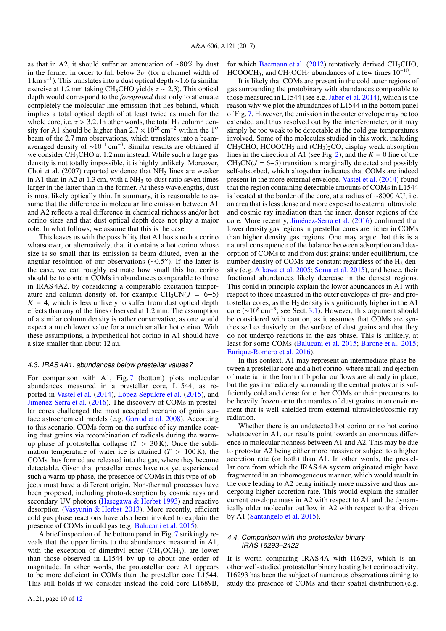as that in A2, it should suffer an attenuation of ∼80% by dust in the former in order to fall below  $3\sigma$  (for a channel width of 1 km s−<sup>1</sup> ). This translates into a dust optical depth ∼1.6 (a similar exercise at 1.2 mm taking CH<sub>3</sub>CHO yields  $\tau \sim 2.3$ ). This optical depth would correspond to the *foreground* dust only to attenuate completely the molecular line emission that lies behind, which implies a total optical depth of at least twice as much for the whole core, i.e.  $\tau > 3.2$ . In other words, the total H<sub>2</sub> column denwhole core, i.e.  $\tau > 3.2$ . In other words, the total H<sub>2</sub> column density for A1 should be higher than  $2.7 \times 10^{26}$  cm<sup>-2</sup> within the 1'' sity for A1 should be higher than  $2.7 \times 10^{26}$  cm<sup>-2</sup> within the 1<sup>11</sup><br>beam of the 2.7 mm observations, which translates into a beambeam of the 2.7 mm observations, which translates into a beamaveraged density of  $\sim 10^{11}$  cm<sup>-3</sup>. Similar results are obtained if we consider CH<sub>3</sub>CHO at 1.2 mm instead. While such a large gas density is not totally impossible, it is highly unlikely. Moreover, Choi et al.  $(2007)$  reported evidence that  $NH<sub>3</sub>$  lines are weaker in A1 than in A2 at  $1.3 \text{ cm}$ , with a NH<sub>3</sub>-to-dust ratio seven times larger in the latter than in the former. At these wavelengths, dust is most likely optically thin. In summary, it is reasonable to assume that the difference in molecular line emission between A1 and A2 reflects a real difference in chemical richness and/or hot corino sizes and that dust optical depth does not play a major role. In what follows, we assume that this is the case.

This leaves us with the possibility that A1 hosts no hot corino whatsoever, or alternatively, that it contains a hot corino whose size is so small that its emission is beam diluted, even at the angular resolution of our observations  $(\sim 0.5'')$ . If the latter is the case we can roughly estimate how small this hot corino the case, we can roughly estimate how small this hot corino should be to contain COMs in abundances comparable to those in IRAS 4A2, by considering a comparable excitation temperature and column density of, for example  $CH_3CN(J = 6-5)$  $K = 4$ , which is less unlikely to suffer from dust optical depth effects than any of the lines observed at 1.2 mm. The assumption of a similar column density is rather conservative, as one would expect a much lower value for a much smaller hot corino. With these assumptions, a hypothetical hot corino in A1 should have a size smaller than about 12 au.

#### 4.3. IRAS 4A1: abundances below prestellar values?

For comparison with A1, Fig. 7 (bottom) plots molecular abundances measured in a prestellar core, L1544, as reported in Vastel et al. (2014), López-Sepulcre et al. (2015), and Jiménez-Serra et al. (2016). The discovery of COMs in prestellar cores challenged the most accepted scenario of grain surface astrochemical models (e.g. Garrod et al. 2008). According to this scenario, COMs form on the surface of icy mantles coating dust grains via recombination of radicals during the warmup phase of protostellar collapse  $(T > 30 \text{ K})$ . Once the sublimation temperature of water ice is attained  $(T > 100 \text{ K})$ , the COMs thus formed are released into the gas, where they become detectable. Given that prestellar cores have not yet experienced such a warm-up phase, the presence of COMs in this type of objects must have a different origin. Non-thermal processes have been proposed, including photo-desorption by cosmic rays and secondary UV photons (Hasegawa & Herbst 1993) and reactive desorption (Vasyunin & Herbst 2013). More recently, efficient cold gas phase reactions have also been invoked to explain the presence of COMs in cold gas (e.g. Balucani et al. 2015).

A brief inspection of the bottom panel in Fig. 7 strikingly reveals that the upper limits to the abundances measured in A1, with the exception of dimethyl ether  $(CH<sub>3</sub>OCH<sub>3</sub>)$ , are lower than those observed in L1544 by up to about one order of magnitude. In other words, the protostellar core A1 appears to be more deficient in COMs than the prestellar core L1544. This still holds if we consider instead the cold core L1689B,

for which Bacmann et al.  $(2012)$  tentatively derived CH<sub>3</sub>CHO, HCOOCH<sub>3</sub>, and CH<sub>3</sub>OCH<sub>3</sub> abundances of a few times  $10^{-10}$ .

It is likely that COMs are present in the cold outer regions of gas surrounding the protobinary with abundances comparable to those measured in L1544 (see e.g. Jaber et al. 2014), which is the reason why we plot the abundances of L1544 in the bottom panel of Fig. 7. However, the emission in the outer envelope may be too extended and thus resolved out by the interferometer, or it may simply be too weak to be detectable at the cold gas temperatures involved. Some of the molecules studied in this work, including  $CH<sub>3</sub>CHO$ , HCOOCH<sub>3</sub> and (CH<sub>3</sub>)<sub>2</sub>CO, display weak absorption lines in the direction of A1 (see Fig. 2), and the  $K = 0$  line of the  $CH<sub>3</sub>CN(J = 6–5)$  transition is marginally detected and possibly self-absorbed, which altogether indicates that COMs are indeed present in the more external envelope. Vastel et al. (2014) found that the region containing detectable amounts of COMs in L1544 is located at the border of the core, at a radius of ∼8000 AU, i.e. an area that is less dense and more exposed to external ultraviolet and cosmic ray irradiation than the inner, denser regions of the core. More recently, Jiménez-Serra et al. (2016) confirmed that lower density gas regions in prestellar cores are richer in COMs than higher density gas regions. One may argue that this is a natural consequence of the balance between adsorption and desorption of COMs to and from dust grains: under equilibrium, the number density of COMs are constant regardless of the  $H_2$  density (e.g. Aikawa et al. 2005; Soma et al. 2015), and hence, their fractional abundances likely decrease in the densest regions. This could in principle explain the lower abundances in A1 with respect to those measured in the outer envelopes of pre- and protostellar cores, as the  $H_2$  density is significantly higher in the A1 core (~10<sup>8</sup> cm<sup>-3</sup>; see Sect. 3.1). However, this argument should be considered with caution, as it assumes that COMs are synthesised exclusively on the surface of dust grains and that they do not undergo reactions in the gas phase. This is unlikely, at least for some COMs (Balucani et al. 2015; Barone et al. 2015; Enrique-Romero et al. 2016).

In this context, A1 may represent an intermediate phase between a prestellar core and a hot corino, where infall and ejection of material in the form of bipolar outflows are already in place, but the gas immediately surrounding the central protostar is sufficiently cold and dense for either COMs or their precursors to be heavily frozen onto the mantles of dust grains in an environment that is well shielded from external ultraviolet/cosmic ray radiation.

Whether there is an undetected hot corino or no hot corino whatsoever in A1, our results point towards an enormous difference in molecular richness between A1 and A2. This may be due to protostar A2 being either more massive or subject to a higher accretion rate (or both) than A1. In other words, the prestellar core from which the IRAS 4A system originated might have fragmented in an inhomogeneous manner, which would result in the core leading to A2 being initially more massive and thus undergoing higher accretion rate. This would explain the smaller current envelope mass in A2 with respect to A1 and the dynamically older molecular outflow in A2 with respect to that driven by A1 (Santangelo et al. 2015).

#### 4.4. Comparison with the protostellar binary IRAS 16293–2422

It is worth comparing IRAS 4A with I16293, which is another well-studied protostellar binary hosting hot corino activity. I16293 has been the subject of numerous observations aiming to study the presence of COMs and their spatial distribution (e.g.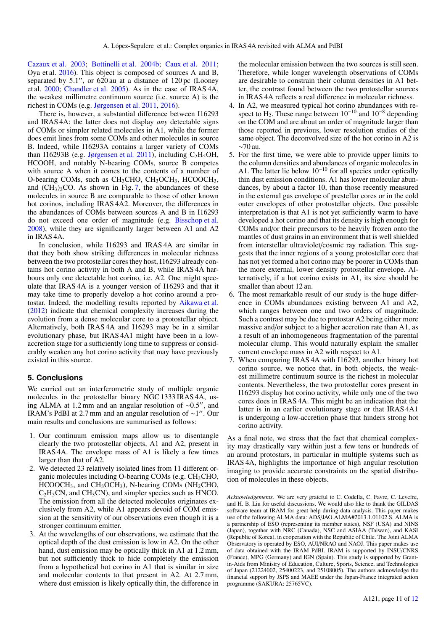Cazaux et al. 2003; Bottinelli et al. 2004b; Caux et al. 2011; Oya et al. 2016). This object is composed of sources A and B, separated by  $5.1$ ", or  $620$  au at a distance of  $120$  pc (Looney et al. 2000; Chandler et al. 2005). As in the case of IRAS 4A, the weakest millimetre continuum source (i.e. source A) is the richest in COMs (e.g. Jørgensen et al. 2011, 2016).

There is, however, a substantial difference between I16293 and IRAS 4A: the latter does not display *any* detectable signs of COMs or simpler related molecules in A1, while the former does emit lines from some COMs and other molecules in source B. Indeed, while I16293A contains a larger variety of COMs than I16293B (e.g. Jørgensen et al. 2011), including  $C_2H_5OH$ , HCOOH, and notably N-bearing COMs, source B competes with source A when it comes to the contents of a number of O-bearing COMs, such as  $CH<sub>3</sub>CH<sub>3</sub>CH<sub>3</sub>$ , HCOOCH<sub>3</sub>, and  $(CH_3)_2CO$ . As shown in Fig. 7, the abundances of these molecules in source B are comparable to those of other known hot corinos, including IRAS 4A2. Moreover, the differences in the abundances of COMs between sources A and B in I16293 do not exceed one order of magnitude (e.g. Bisschop et al. 2008), while they are significantly larger between A1 and A2 in IRAS 4A.

In conclusion, while I16293 and IRAS 4A are similar in that they both show striking differences in molecular richness between the two protostellar cores they host, I16293 already contains hot corino activity in both A and B, while IRAS 4A harbours only one detectable hot corino, i.e. A2. One might speculate that IRAS 4A is a younger version of I16293 and that it may take time to properly develop a hot corino around a protostar. Indeed, the modelling results reported by Aikawa et al. (2012) indicate that chemical complexity increases during the evolution from a dense molecular core to a protostellar object. Alternatively, both IRAS 4A and I16293 may be in a similar evolutionary phase, but IRAS 4A1 might have been in a lowaccretion stage for a sufficiently long time to suppress or considerably weaken any hot corino activity that may have previously existed in this source.

### **5. Conclusions**

We carried out an interferometric study of multiple organic molecules in the protostellar binary NGC 1333 IRAS 4A, using ALMA at 1.2 mm and an angular resolution of  $\sim$ 0.5", and IRAM's PdBI at 2.7 mm and an angular resolution of ~1". Our main results and conclusions are summarised as follows:

- 1. Our continuum emission maps allow us to disentangle clearly the two protostellar objects, A1 and A2, present in IRAS 4A. The envelope mass of A1 is likely a few times larger than that of A2.
- 2. We detected 23 relatively isolated lines from 11 different organic molecules including O-bearing COMs (e.g. CH<sub>3</sub>CHO,  $HCOOCH<sub>3</sub>$ , and  $CH<sub>3</sub>OCH<sub>3</sub>$ ), N-bearing COMs (NH<sub>2</sub>CHO,  $C_2H_5CN$ , and  $CH_3CN$ ), and simpler species such as HNCO. The emission from all the detected molecules originates exclusively from A2, while A1 appears devoid of COM emission at the sensitivity of our observations even though it is a stronger continuum emitter.
- 3. At the wavelengths of our observations, we estimate that the optical depth of the dust emission is low in A2. On the other hand, dust emission may be optically thick in A1 at 1.2 mm, but not sufficiently thick to hide completely the emission from a hypothetical hot corino in A1 that is similar in size and molecular contents to that present in A2. At 2.7 mm, where dust emission is likely optically thin, the difference in

the molecular emission between the two sources is still seen. Therefore, while longer wavelength observations of COMs are desirable to constrain their column densities in A1 better, the contrast found between the two protostellar sources in IRAS 4A reflects a real difference in molecular richness.

- 4. In A2, we measured typical hot corino abundances with respect to H<sub>2</sub>. These range between  $10^{-10}$  and  $10^{-8}$  depending on the COM and are about an order of magnitude larger than those reported in previous, lower resolution studies of the same object. The deconvolved size of the hot corino in A2 is ∼70 au.
- 5. For the first time, we were able to provide upper limits to the column densities and abundances of organic molecules in A1. The latter lie below 10−<sup>10</sup> for all species under optically thin dust emission conditions. A1 has lower molecular abundances, by about a factor 10, than those recently measured in the external gas envelope of prestellar cores or in the cold outer envelopes of other protostellar objects. One possible interpretation is that A1 is not yet sufficiently warm to have developed a hot corino and that its density is high enough for COMs and/or their precursors to be heavily frozen onto the mantles of dust grains in an environment that is well shielded from interstellar ultraviolet/cosmic ray radiation. This suggests that the inner regions of a young protostellar core that has not yet formed a hot corino may be poorer in COMs than the more external, lower density protostellar envelope. Alternatively, if a hot corino exists in A1, its size should be smaller than about 12 au.
- 6. The most remarkable result of our study is the huge difference in COMs abundances existing between A1 and A2, which ranges between one and two orders of magnitude. Such a contrast may be due to protostar A2 being either more massive and/or subject to a higher accretion rate than A1, as a result of an inhomogeneous fragmentation of the parental molecular clump. This would naturally explain the smaller current envelope mass in A2 with respect to A1.
- 7. When comparing IRAS 4A with I16293, another binary hot corino source, we notice that, in both objects, the weakest millimetre continuum source is the richest in molecular contents. Nevertheless, the two protostellar cores present in I16293 display hot corino activity, while only one of the two cores does in IRAS 4A. This might be an indication that the latter is in an earlier evolutionary stage or that IRAS 4A1 is undergoing a low-accretion phase that hinders strong hot corino activity.

As a final note, we stress that the fact that chemical complexity may drastically vary within just a few tens or hundreds of au around protostars, in particular in multiple systems such as IRAS 4A, highlights the importance of high angular resolution imaging to provide accurate constraints on the spatial distribution of molecules in these objects.

*Acknowledgements.* We are very grateful to C. Codella, C. Favre, C. Levefre, and H. B. Liu for useful discussions. We would also like to thank the GILDAS software team at IRAM for great help during data analysis. This paper makes use of the following ALMA data: ADS/JAO.ALMA#2013.1.01102.S. ALMA is a partnership of ESO (representing its member states), NSF (USA) and NINS (Japan), together with NRC (Canada), NSC and ASIAA (Taiwan), and KASI (Republic of Korea), in cooperation with the Republic of Chile. The Joint ALMA Observatory is operated by ESO, AUI/NRAO and NAOJ. This paper makes use of data obtained with the IRAM PdBI. IRAM is supported by INSU/CNRS (France), MPG (Germany) and IGN (Spain). This study is supported by Grantin-Aids from Ministry of Education, Culture, Sports, Science, and Technologies of Japan (21224002, 25400223, and 25108005). The authors acknowledge the financial support by JSPS and MAEE under the Japan-France integrated action programme (SAKURA: 25765VC).